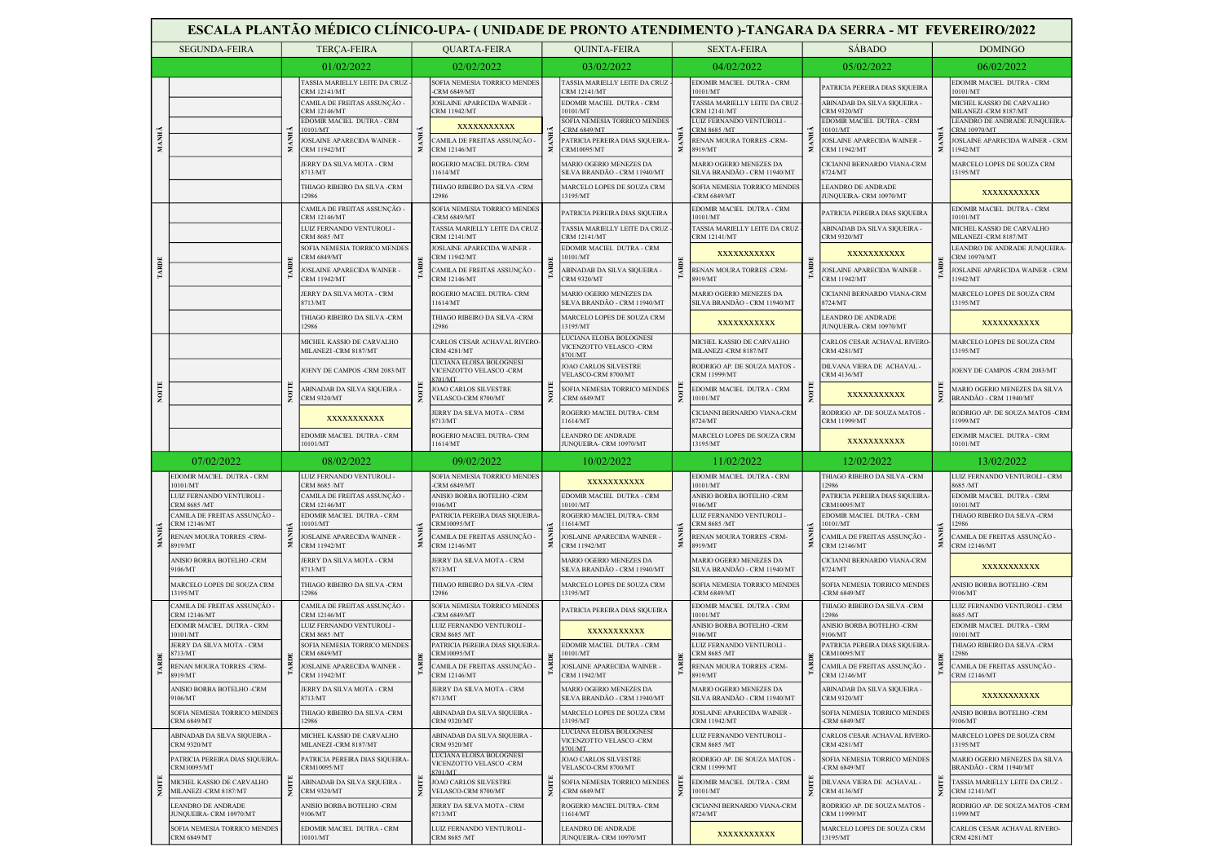|               | ESCALA PLANTÃO MÉDICO CLÍNICO-UPA- (UNIDADE DE PRONTO ATENDIMENTO )-TANGARA DA SERRA - MT FEVEREIRO/2022 |  |                                                                  |                     |                                                                           |                                                                                                                                                                                                                                                                             |                                                             |                                             |                                                           |            |                                                                    |   |                                                                |  |
|---------------|----------------------------------------------------------------------------------------------------------|--|------------------------------------------------------------------|---------------------|---------------------------------------------------------------------------|-----------------------------------------------------------------------------------------------------------------------------------------------------------------------------------------------------------------------------------------------------------------------------|-------------------------------------------------------------|---------------------------------------------|-----------------------------------------------------------|------------|--------------------------------------------------------------------|---|----------------------------------------------------------------|--|
|               | <b>SEGUNDA-FEIRA</b>                                                                                     |  | <b>TERÇA-FEIRA</b>                                               | <b>QUARTA-FEIRA</b> |                                                                           |                                                                                                                                                                                                                                                                             | <b>QUINTA-FEIRA</b>                                         |                                             | <b>SEXTA-FEIRA</b>                                        |            | SÁBADO                                                             |   | <b>DOMINGO</b>                                                 |  |
|               |                                                                                                          |  | 01/02/2022                                                       | 02/02/2022          |                                                                           |                                                                                                                                                                                                                                                                             | 03/02/2022                                                  |                                             | 04/02/2022                                                |            | 05/02/2022                                                         |   | 06/02/2022                                                     |  |
|               |                                                                                                          |  | <b>TASSIA MARIELLY LEITE DA CRUZ</b>                             |                     | SOFIA NEMESIA TORRICO MENDES                                              |                                                                                                                                                                                                                                                                             | TASSIA MARIELLY LEITE DA CRUZ                               |                                             | EDOMIR MACIEL DUTRA - CRM                                 |            | PATRICIA PEREIRA DIAS SIQUEIRA                                     |   | EDOMIR MACIEL DUTRA - CRM                                      |  |
|               |                                                                                                          |  | <b>CRM 12141/MT</b><br>CAMILA DE FREITAS ASSUNÇÃO -              |                     | -CRM 6849/MT<br>JOSLAINE APARECIDA WAINER -                               | <b>CRM 12141/MT</b><br>EDOMIR MACIEL DUTRA - CRM<br>10101/MT<br>SOFIA NEMESIA TORRICO MENDES<br>-CRM 6849/MT<br>WAN<br>PATRICIA PEREIRA DIAS SIQUEIRA-<br>CRM10095/MT                                                                                                       |                                                             |                                             | 10101/MT<br>TASSIA MARIELLY LEITE DA CRUZ                 |            | ABINADAB DA SILVA SIQUEIRA -                                       |   | 10101/MT<br>MICHEL KASSIO DE CARVALHO                          |  |
|               |                                                                                                          |  | <b>CRM 12146/MT</b><br>EDOMIR MACIEL DUTRA - CRM                 |                     | CRM 11942/MT                                                              |                                                                                                                                                                                                                                                                             |                                                             |                                             | CRM 12141/MT<br>LUIZ FERNANDO VENTUROLI -                 |            | <b>CRM 9320/MT</b><br>EDOMIR MACIEL DUTRA - CRM                    |   | MILANEZI -CRM 8187/MT<br>LEANDRO DE ANDRADE JUNQUEIRA-         |  |
| MANHÃ         |                                                                                                          |  | 0101/MT<br>OSLAINE APARECIDA WAINER -                            |                     | XXXXXXXXXX<br>CAMILA DE FREITAS ASSUNÇÃO -                                |                                                                                                                                                                                                                                                                             | CRM 8685 /MT<br>RENAN MOURA TORRES -CRM-                    |                                             | 0101/MT<br>JOSLAINE APARECIDA WAINER                      | MANHÃ      | CRM 10970/MT<br>JOSLAINE APARECIDA WAINER - CRM                    |   |                                                                |  |
|               |                                                                                                          |  | <b>ERM 11942/MT</b><br>ERRY DA SILVA MOTA - CRM                  |                     | CRM 12146/MT<br>ROGERIO MACIEL DUTRA- CRM                                 |                                                                                                                                                                                                                                                                             | 8919/MT<br>MARIO OGERIO MENEZES DA                          |                                             | CRM 11942/MT<br>CICIANNI BERNARDO VIANA-CRM               |            | 1942/MT<br>MARCELO LOPES DE SOUZA CRM                              |   |                                                                |  |
|               |                                                                                                          |  | 3713/MT                                                          |                     | 11614/MT                                                                  |                                                                                                                                                                                                                                                                             | SILVA BRANDÃO - CRM 11940/MT                                | MARIO OGERIO MENEZES DA                     | SILVA BRANDÃO - CRM 11940/MT                              |            | 8724/MT                                                            |   | 13195/MT                                                       |  |
|               |                                                                                                          |  | THIAGO RIBEIRO DA SILVA -CRM<br>12986                            |                     | THIAGO RIBEIRO DA SILVA -CRM<br>12986                                     |                                                                                                                                                                                                                                                                             | MARCELO LOPES DE SOUZA CRM<br>13195/MT                      |                                             | SOFIA NEMESIA TORRICO MENDES<br>-CRM 6849/MT              |            | LEANDRO DE ANDRADE<br><b>IUNQUEIRA- CRM 10970/MT</b>               |   | XXXXXXXXXX                                                     |  |
|               |                                                                                                          |  | CAMILA DE FREITAS ASSUNÇÃO -<br>CRM 12146/MT                     |                     | SOFIA NEMESIA TORRICO MENDES<br>-CRM 6849/MT                              | PATRICIA PEREIRA DIAS SIQUEIRA<br><b>TASSIA MARIELLY LEITE DA CRUZ</b><br><b>CRM 12141/MT</b><br>EDOMIR MACIEL DUTRA - CRM<br>10101/MT<br>¥<br>ABINADAB DA SILVA SIOUEIRA -<br>≋<br><b>CRM 9320/MT</b><br>MARIO OGERIO MENEZES DA<br>SILVA BRANDÃO - CRM 11940/MT           |                                                             |                                             | EDOMIR MACIEL DUTRA - CRM<br>10101/MT                     |            | PATRICIA PEREIRA DIAS SIQUEIRA                                     |   | EDOMIR MACIEL DUTRA - CRM<br>10101/MT                          |  |
|               |                                                                                                          |  | LUIZ FERNANDO VENTUROLI -<br>CRM 8685 /MT                        |                     | TASSIA MARIELLY LEITE DA CRUZ<br>CRM 12141/MT                             |                                                                                                                                                                                                                                                                             | TASSIA MARIELLY LEITE DA CRUZ<br><b>CRM 12141/MT</b>        |                                             | ABINADAB DA SILVA SIQUEIRA -<br><b>CRM 9320/MT</b>        |            | MICHEL KASSIO DE CARVALHO<br>MILANEZI-CRM 8187/MT                  |   |                                                                |  |
|               |                                                                                                          |  | SOFIA NEMESIA TORRICO MENDES<br><b>CRM 6849/MT</b>               |                     | <b>JOSLAINE APARECIDA WAINER</b><br><b>CRM 11942/MT</b>                   |                                                                                                                                                                                                                                                                             | XXXXXXXXXX                                                  |                                             | XXXXXXXXXX                                                |            | LEANDRO DE ANDRADE JUNQUEIRA-<br>CRM 10970/MT                      |   |                                                                |  |
| TARDE         |                                                                                                          |  | OSLAINE APARECIDA WAINER -<br><b>CRM 11942/MT</b>                | ್                   | CAMILA DE FREITAS ASSUNCÃO -<br><b>CRM 12146/MT</b>                       |                                                                                                                                                                                                                                                                             |                                                             |                                             | RENAN MOURA TORRES -CRM-<br>8919/MT                       | ≆          | JOSLAINE APARECIDA WAINER<br><b>CRM 11942/MT</b>                   | ã | JOSLAINE APARECIDA WAINER - CRM<br>1942/MT                     |  |
|               |                                                                                                          |  | ERRY DA SILVA MOTA - CRM<br>3713/MT                              |                     | ROGERIO MACIEL DUTRA- CRM<br>11614/MT                                     |                                                                                                                                                                                                                                                                             | MARIO OGERIO MENEZES DA<br>SILVA BRANDÃO - CRM 11940/MT     |                                             | CICIANNI BERNARDO VIANA-CRM<br>8724/MT                    |            | MARCELO LOPES DE SOUZA CRM<br>13195/MT                             |   |                                                                |  |
|               |                                                                                                          |  | THIAGO RIBEIRO DA SILVA -CRM<br>12986                            |                     | THIAGO RIBEIRO DA SILVA -CRM<br>12986                                     |                                                                                                                                                                                                                                                                             | MARCELO LOPES DE SOUZA CRM<br>13195/MT                      |                                             | XXXXXXXXXX                                                |            | LEANDRO DE ANDRADE<br><b>IUNQUEIRA- CRM 10970/MT</b>               |   | XXXXXXXXXX                                                     |  |
|               |                                                                                                          |  | <b>MICHEL KASSIO DE CARVALHO</b><br>MILANEZI-CRM 8187/MT         |                     | CARLOS CESAR ACHAVAL RIVERO<br><b>CRM 4281/MT</b>                         | LUCIANA ELOISA BOLOGNESI<br>VICENZOTTO VELASCO -CRM<br>8701/MT<br><b>JOAO CARLOS SILVESTRE</b><br>VELASCO-CRM 8700/MT<br>SOFIA NEMESIA TORRICO MENDES<br><b>CRM 6849/MT</b><br>ROGERIO MACIEL DUTRA- CRM<br>1614/MT<br><b>LEANDRO DE ANDRADE</b><br>JUNQUEIRA- CRM 10970/MT | MICHEL KASSIO DE CARVALHO<br>MILANEZI-CRM 8187/MT           |                                             | CARLOS CESAR ACHAVAL RIVERO<br>CRM 4281/MT                |            | MARCELO LOPES DE SOUZA CRM<br>13195/MT                             |   |                                                                |  |
|               |                                                                                                          |  | OENY DE CAMPOS -CRM 2083/MT                                      |                     | LUCIANA ELOISA BOLOGNESI<br>VICENZOTTO VELASCO -CRM<br>8701/MT            |                                                                                                                                                                                                                                                                             |                                                             |                                             | RODRIGO AP. DE SOUZA MATOS<br>CRM 11999/MT                |            | DILVANA VIERA DE ACHAVAL -<br><b>CRM 4136/MT</b>                   |   | JOENY DE CAMPOS -CRM 2083/MT                                   |  |
| <b>NOITE</b>  |                                                                                                          |  | BINADAB DA SILVA SIQUEIRA -<br><b>RM 9320/MT</b>                 |                     | JOAO CARLOS SILVESTRE<br>VELASCO-CRM 8700/MT                              |                                                                                                                                                                                                                                                                             |                                                             |                                             | EDOMIR MACIEL DUTRA - CRM<br>10101/MT                     |            | XXXXXXXXXX                                                         |   | <b>MARIO OGERIO MENEZES DA SILVA</b><br>BRANDÃO - CRM 11940/MT |  |
|               |                                                                                                          |  | XXXXXXXXXX                                                       |                     | JERRY DA SILVA MOTA - CRM<br>8713/MT                                      |                                                                                                                                                                                                                                                                             |                                                             |                                             | CICIANNI BERNARDO VIANA-CRM<br>8724/MT                    |            | RODRIGO AP. DE SOUZA MATOS -<br><b>CRM 11999/MT</b>                |   | RODRIGO AP. DE SOUZA MATOS -CRN<br>1999/MT                     |  |
|               |                                                                                                          |  | EDOMIR MACIEL DUTRA - CRM<br>10101/MT                            |                     | ROGERIO MACIEL DUTRA- CRM<br>11614/MT                                     |                                                                                                                                                                                                                                                                             |                                                             |                                             | MARCELO LOPES DE SOUZA CRM<br>13195/MT                    |            | XXXXXXXXXX                                                         |   | EDOMIR MACIEL DUTRA - CRM<br>10101/MT                          |  |
|               | 07/02/2022                                                                                               |  | 08/02/2022                                                       |                     | 09/02/2022                                                                |                                                                                                                                                                                                                                                                             | 10/02/2022                                                  |                                             | 11/02/2022                                                |            | 12/02/2022                                                         |   | 13/02/2022                                                     |  |
|               | EDOMIR MACIEL DUTRA - CRM<br>0101/MT                                                                     |  | LUIZ FERNANDO VENTUROLI -<br>CRM 8685 /MT                        |                     | SOFIA NEMESIA TORRICO MENDES<br>-CRM 6849/MT                              | XXXXXXXXXX<br>EDOMIR MACIEL DUTRA - CRM<br>10101/MT<br>ROGERIO MACIEL DUTRA- CRM<br>1614/MT<br>JOSLAINE APARECIDA WAINER -<br>ş<br>ş.<br>CRM 11942/MT<br>MARIO OGERIO MENEZES DA<br>SILVA BRANDÃO - CRM 11940/MT<br>MARCELO LOPES DE SOUZA CRM<br>13195/MT                  |                                                             |                                             | EDOMIR MACIEL DUTRA - CRM<br>10101/MT                     |            | THIAGO RIBEIRO DA SILVA -CRM<br>12986                              |   | LUIZ FERNANDO VENTUROLI - CRM<br>8685 /MT                      |  |
|               | LUIZ FERNANDO VENTUROLI -<br>CRM 8685 /MT                                                                |  | CAMILA DE FREITAS ASSUNÇÃO -<br>CRM 12146/MT                     |                     | ANISIO BORBA BOTELHO -CRM<br>9106/MT                                      |                                                                                                                                                                                                                                                                             |                                                             |                                             | ANISIO BORBA BOTELHO -CRM<br>9106/MT                      |            | PATRICIA PEREIRA DIAS SIQUEIRA-<br>CRM10095/MT                     |   | EDOMIR MACIEL DUTRA - CRM<br>10101/MT                          |  |
|               | CAMILA DE FREITAS ASSUNÇÃO -<br>CRM 12146/MT                                                             |  | EDOMIR MACIEL DUTRA - CRM<br>0101/MT                             |                     | PATRICIA PEREIRA DIAS SIQUEIRA-<br>CRM10095/MT                            |                                                                                                                                                                                                                                                                             |                                                             |                                             | LUIZ FERNANDO VENTUROLI -<br><b>CRM 8685 /MT</b>          |            | EDOMIR MACIEL DUTRA - CRM<br>0101/MT                               |   | THIAGO RIBEIRO DA SILVA -CRM<br>2986                           |  |
| МАННА         | RENAN MOURA TORRES -CRM-<br>8919/MT                                                                      |  | JOSLAINE APARECIDA WAINER -<br><b>CRM 11942/MT</b>               |                     | CAMILA DE FREITAS ASSUNÇÃO -<br>CRM 12146/MT                              |                                                                                                                                                                                                                                                                             | RENAN MOURA TORRES -CRM-<br>8919/MT                         | WYN                                         | CAMILA DE FREITAS ASSUNÇÃO -<br>CRM 12146/MT              | <b>HNW</b> | CAMILA DE FREITAS ASSUNÇÃO -<br>CRM 12146/MT                       |   |                                                                |  |
|               | ANISIO BORBA BOTELHO -CRM<br>9106/MT                                                                     |  | JERRY DA SILVA MOTA - CRM<br>8713/MT                             |                     | JERRY DA SILVA MOTA - CRM<br>8713/MT                                      |                                                                                                                                                                                                                                                                             |                                                             |                                             | MARIO OGERIO MENEZES DA<br>SILVA BRANDÃO - CRM 11940/MT   |            | CICIANNI BERNARDO VIANA-CRM<br>8724/MT                             |   | XXXXXXXXXXX                                                    |  |
|               | MARCELO LOPES DE SOUZA CRM                                                                               |  | THIAGO RIBEIRO DA SILVA -CRM<br>2986                             |                     | THIAGO RIBEIRO DA SILVA -CRM<br>12986                                     |                                                                                                                                                                                                                                                                             |                                                             |                                             | SOFIA NEMESIA TORRICO MENDES<br><b>CRM 6849/MT</b>        |            | SOFIA NEMESIA TORRICO MENDES<br><b>CRM 6849/MT</b>                 |   | ANISIO BORBA BOTELHO -CRM<br>9106/MT                           |  |
|               | 13195/MT                                                                                                 |  | CAMILA DE FREITAS ASSUNCÃO -                                     |                     | SOFIA NEMESIA TORRICO MENDES<br>-CRM 6849/MT                              |                                                                                                                                                                                                                                                                             | PATRICIA PEREIRA DIAS SIOUEIRA                              |                                             | EDOMIR MACIEL DUTRA - CRM<br>10101/MT                     |            | THIAGO RIBEIRO DA SILVA -CRM<br>12986                              |   | LUIZ FERNANDO VENTUROLI - CRM<br>8685 /MT                      |  |
|               | CAMILA DE FREITAS ASSUNCÃO -<br>CRM 12146/MT                                                             |  | <b>CRM 12146/MT</b>                                              |                     | LUIZ FERNANDO VENTUROLI -                                                 | XXXXXXXXXX<br>EDOMIR MACIEL DUTRA - CRM<br>10101/MT                                                                                                                                                                                                                         |                                                             |                                             | ANISIO BORBA BOTELHO -CRM<br>9106/MT                      |            | ANISIO BORBA BOTELHO -CRM<br>9106/MT                               |   | EDOMIR MACIEL DUTRA - CRM<br>10101/MT                          |  |
|               | EDOMIR MACIEL DUTRA - CRM<br>0101/MT                                                                     |  | LUIZ FERNANDO VENTUROLI -<br><b>CRM 8685 /MT</b>                 |                     | CRM 8685 /MT                                                              |                                                                                                                                                                                                                                                                             | LUIZ FERNANDO VENTUROLI -<br>CRM 8685 /MT                   |                                             | PATRICIA PEREIRA DIAS SIOUEIRA-<br>CRM10095/MT            |            | THIAGO RIBEIRO DA SILVA -CRM<br>12986                              |   |                                                                |  |
|               | JERRY DA SILVA MOTA - CRM<br>8713/MT                                                                     |  | SOFIA NEMESIA TORRICO MENDES<br>CRM 6849/MT                      |                     | PATRICIA PEREIRA DIAS SIOUEIRA-<br>CRM10095/MT                            |                                                                                                                                                                                                                                                                             |                                                             | JOSLAINE APARECIDA WAINER -<br>CRM 11942/MT |                                                           |            | CAMILA DE FREITAS ASSUNÇÃO -                                       |   | CAMILA DE FREITAS ASSUNÇÃO -                                   |  |
| $_{\rm TARE}$ | RENAN MOURA TORRES -CRM-<br>8919/MT                                                                      |  | OSLAINE APARECIDA WAINER -<br>CRM 11942/MT                       |                     | CAMILA DE FREITAS ASSUNÇÃO -<br>CRM 12146/MT                              | Ę                                                                                                                                                                                                                                                                           |                                                             |                                             | RENAN MOURA TORRES -CRM-<br>8919/MT                       |            | CRM 12146/MT                                                       |   | CRM 12146/MT                                                   |  |
|               | ANISIO BORBA BOTELHO -CRM<br>9106/MT                                                                     |  | JERRY DA SILVA MOTA - CRM<br>8713/MT                             |                     | JERRY DA SILVA MOTA - CRM<br>8713/MT                                      |                                                                                                                                                                                                                                                                             | MARIO OGERIO MENEZES DA<br>SILVA BRANDÃO - CRM 11940/MT     |                                             | MARIO OGERIO MENEZES DA<br>SILVA BRANDÃO - CRM 11940/MT   |            | ABINADAB DA SILVA SIQUEIRA -<br>CRM 9320/MT                        |   | XXXXXXXXXX                                                     |  |
|               | SOFIA NEMESIA TORRICO MENDES<br><b>CRM 6849/MT</b>                                                       |  | THIAGO RIBEIRO DA SILVA -CRM<br>12986                            |                     | ABINADAB DA SILVA SIQUEIRA -<br><b>CRM 9320/MT</b>                        |                                                                                                                                                                                                                                                                             | MARCELO LOPES DE SOUZA CRM<br>13195/MT                      |                                             | <b>JOSLAINE APARECIDA WAINER -</b><br><b>CRM 11942/MT</b> |            | SOFIA NEMESIA TORRICO MENDES<br><b>CRM 6849/MT</b>                 |   | ANISIO BORBA BOTELHO -CRM<br>9106/MT                           |  |
|               | ABINADAB DA SILVA SIQUEIRA -                                                                             |  | MICHEL KASSIO DE CARVALHO                                        |                     | ABINADAB DA SILVA SIQUEIRA -                                              |                                                                                                                                                                                                                                                                             | LUCIANA ELOISA BOLOGNESI<br>VICENZOTTO VELASCO -CRM         |                                             | LUIZ FERNANDO VENTUROLI -                                 |            | CARLOS CESAR ACHAVAL RIVERO-                                       |   | MARCELO LOPES DE SOUZA CRM                                     |  |
|               | <b>CRM 9320/MT</b><br>PATRICIA PEREIRA DIAS SIQUEIRA                                                     |  | MILANEZI -CRM 8187/MT<br>PATRICIA PEREIRA DIAS SIQUEIRA          |                     | <b>CRM 9320/MT</b><br>LUCIANA ELOISA BOLOGNESI<br>VICENZOTTO VELASCO -CRM |                                                                                                                                                                                                                                                                             | 8701/MT<br><b>JOAO CARLOS SILVESTRE</b>                     |                                             | CRM 8685 /MT<br>RODRIGO AP. DE SOUZA MATOS -              |            | <b>CRM 4281/MT</b><br>SOFIA NEMESIA TORRICO MENDES                 |   | 13195/MT<br>MARIO OGERIO MENEZES DA SILVA                      |  |
|               | CRM10095/MT<br>MICHEL KASSIO DE CARVALHO                                                                 |  | CRM10095/MT<br>ABINADAB DA SILVA SIQUEIRA -                      |                     | 8701/MT<br>JOAO CARLOS SILVESTRE                                          |                                                                                                                                                                                                                                                                             | VELASCO-CRM 8700/MT<br>SOFIA NEMESIA TORRICO MENDES         | Ĕ                                           | CRM 11999/MT<br>EDOMIR MACIEL DUTRA - CRM                 |            | <b>CRM 6849/MT</b><br>DILVANA VIERA DE ACHAVAL -                   |   | BRANDÃO - CRM 11940/MT<br>TASSIA MARIELLY LEITE DA CRUZ -      |  |
| NOTTE         | MILANEZI -CRM 8187/MT<br><b>LEANDRO DE ANDRADE</b><br>JUNQUEIRA- CRM 10970/MT                            |  | <b>CRM 9320/MT</b><br><b>NISIO BORBA BOTELHO -CRM</b><br>9106/MT |                     | <b>/ELASCO-CRM 8700/MT</b><br>JERRY DA SILVA MOTA - CRM<br>8713/MT        |                                                                                                                                                                                                                                                                             | <b>CRM 6849/MT</b><br>ROGERIO MACIEL DUTRA- CRM<br>11614/MT |                                             | 10101/MT<br>CICIANNI BERNARDO VIANA-CRM<br>8724/MT        |            | <b>CRM 4136/MT</b><br>RODRIGO AP. DE SOUZA MATOS -<br>CRM 11999/MT |   | CRM 12141/MT<br>RODRIGO AP. DE SOUZA MATOS -CRM<br>1999/MT     |  |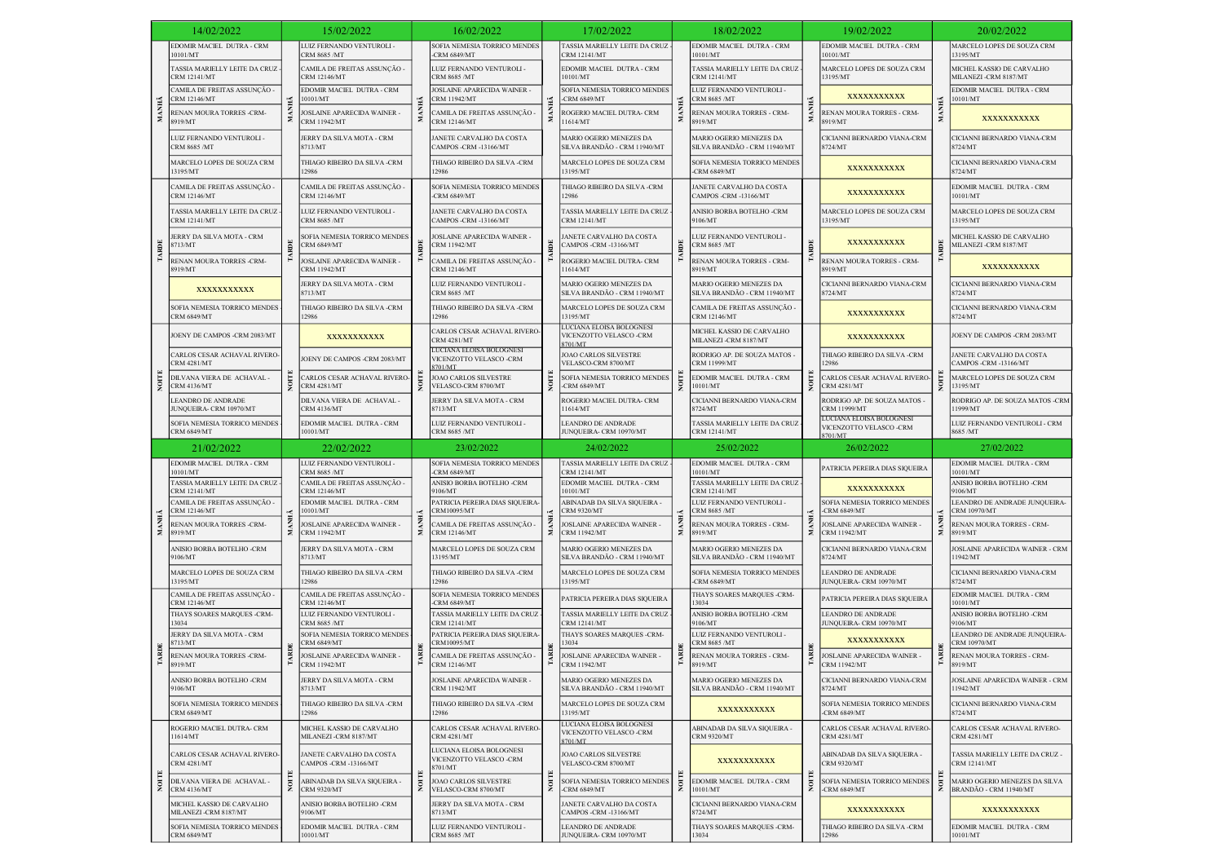|                                                          | 14/02/2022                                                                         |  | 15/02/2022                                                        |   | 16/02/2022                                                                    |                                                                                                                                                                                                                                                                                        | 17/02/2022                                                                     |                                              | 18/02/2022                                                               |                                      | 19/02/2022                                           |                                        | 20/02/2022                                              |
|----------------------------------------------------------|------------------------------------------------------------------------------------|--|-------------------------------------------------------------------|---|-------------------------------------------------------------------------------|----------------------------------------------------------------------------------------------------------------------------------------------------------------------------------------------------------------------------------------------------------------------------------------|--------------------------------------------------------------------------------|----------------------------------------------|--------------------------------------------------------------------------|--------------------------------------|------------------------------------------------------|----------------------------------------|---------------------------------------------------------|
|                                                          | EDOMIR MACIEL DUTRA - CRM<br>10101/MT                                              |  | LUIZ FERNANDO VENTUROLI -<br>CRM 8685 /MT                         |   | SOFIA NEMESIA TORRICO MENDES<br><b>CRM 6849/MT</b>                            | TASSIA MARIELLY LEITE DA CRUZ<br>CRM 12141/MT<br>EDOMIR MACIEL DUTRA - CRM<br>10101/MT<br>SOFIA NEMESIA TORRICO MENDES<br>-CRM $6849/MT$<br>ROGERIO MACIEL DUTRA- CRM<br>11614/MT<br>MARIO OGERIO MENEZES DA<br>SILVA BRANDÃO - CRM 11940/MT<br>MARCELO LOPES DE SOUZA CRM<br>13195/MT |                                                                                |                                              | EDOMIR MACIEL DUTRA - CRM<br>0101/MT                                     |                                      | EDOMIR MACIEL DUTRA - CRM<br>10101/MT                |                                        | MARCELO LOPES DE SOUZA CRM<br>13195/MT                  |
|                                                          | TASSIA MARIELLY LEITE DA CRUZ<br>CRM 12141/MT                                      |  | CAMILA DE FREITAS ASSUNÇÃO -<br>CRM 12146/MT                      |   | LUIZ FERNANDO VENTUROLI -<br>CRM 8685 /MT                                     |                                                                                                                                                                                                                                                                                        |                                                                                |                                              | TASSIA MARIELLY LEITE DA CRUZ<br>CRM 12141/MT                            |                                      | MARCELO LOPES DE SOUZA CRM<br>13195/MT               |                                        | MICHEL KASSIO DE CARVALHO<br>MILANEZI-CRM 8187/MT       |
|                                                          | CAMILA DE FREITAS ASSUNÇÃO -<br>CRM 12146/MT                                       |  | EDOMIR MACIEL DUTRA - CRM<br>10101/MT                             |   | OSLAINE APARECIDA WAINER -<br>CRM 11942/MT                                    |                                                                                                                                                                                                                                                                                        |                                                                                |                                              | LUIZ FERNANDO VENTUROLI -<br>CRM 8685 /MT                                |                                      | XXXXXXXXXXX                                          |                                        | EDOMIR MACIEL DUTRA - CRM<br>10101/MT                   |
| <b>MANHÃ</b>                                             | RENAN MOURA TORRES -CRM-<br>8919/MT                                                |  | JOSLAINE APARECIDA WAINER -<br>CRM 11942/MT                       |   | CAMILA DE FREITAS ASSUNÇÃO -<br>CRM 12146/MT                                  |                                                                                                                                                                                                                                                                                        |                                                                                |                                              | RENAN MOURA TORRES - CRM-<br>8919/MT                                     |                                      | RENAN MOURA TORRES - CRM-<br>8919/MT                 |                                        | XXXXXXXXXX                                              |
|                                                          | LUIZ FERNANDO VENTUROLI -<br>CRM 8685 /MT                                          |  | JERRY DA SILVA MOTA - CRM<br>8713/MT                              |   | JANETE CARVALHO DA COSTA<br>CAMPOS -CRM -13166/MT                             |                                                                                                                                                                                                                                                                                        | MARIO OGERIO MENEZES DA<br>SILVA BRANDÃO - CRM 11940/MT                        |                                              | CICIANNI BERNARDO VIANA-CRM<br>8724/MT                                   |                                      | CICIANNI BERNARDO VIANA-CRM<br>8724/MT               |                                        |                                                         |
|                                                          | MARCELO LOPES DE SOUZA CRM<br>13195/MT                                             |  | THIAGO RIBEIRO DA SILVA -CRM<br>12986                             |   | THIAGO RIBEIRO DA SILVA -CRM<br>12986                                         |                                                                                                                                                                                                                                                                                        |                                                                                |                                              | SOFIA NEMESIA TORRICO MENDES<br>-CRM 6849/MT                             |                                      | XXXXXXXXXXX                                          |                                        | CICIANNI BERNARDO VIANA-CRM<br>8724/MT                  |
|                                                          | CAMILA DE FREITAS ASSUNÇÃO -<br>CRM 12146/MT                                       |  | CAMILA DE FREITAS ASSUNÇÃO -<br>CRM 12146/MT                      |   | SOFIA NEMESIA TORRICO MENDES<br><b>CRM 6849/MT</b>                            |                                                                                                                                                                                                                                                                                        | THIAGO RIBEIRO DA SILVA -CRM<br>12986                                          |                                              | JANETE CARVALHO DA COSTA<br>CAMPOS -CRM -13166/MT                        |                                      | XXXXXXXXXX                                           |                                        | EDOMIR MACIEL DUTRA - CRM<br>10101/MT                   |
|                                                          | TASSIA MARIELLY LEITE DA CRUZ<br><b>CRM 12141/MT</b>                               |  | LUIZ FERNANDO VENTUROLI -<br><b>CRM 8685 /MT</b>                  |   | ANETE CARVALHO DA COSTA<br>CAMPOS -CRM -13166/MT                              |                                                                                                                                                                                                                                                                                        | <b>TASSIA MARIELLY LEITE DA CRUZ</b><br>CRM 12141/MT                           |                                              | ANISIO BORBA BOTELHO -CRM<br>9106/MT                                     |                                      | MARCELO LOPES DE SOUZA CRM<br>13195/MT               |                                        | MARCELO LOPES DE SOUZA CRM<br>13195/MT                  |
| $\mathbb{T} \mathbf{A} \mathbf{R} \mathbf{D} \mathbf{E}$ | JERRY DA SILVA MOTA - CRM<br>8713/MT                                               |  | SOFIA NEMESIA TORRICO MENDES<br><b>CRM 6849/MT</b>                |   | <b>IOSLAINE APARECIDA WAINER</b><br>CRM 11942/MT                              |                                                                                                                                                                                                                                                                                        | ANETE CARVALHO DA COSTA<br>CAMPOS -CRM -13166/MT                               |                                              | LUIZ FERNANDO VENTUROLI -<br>CRM 8685 /MT                                |                                      | XXXXXXXXXX                                           |                                        | MICHEL KASSIO DE CARVALHO<br>MILANEZI-CRM 8187/MT       |
|                                                          | RENAN MOURA TORRES -CRM-<br>8919/MT                                                |  | JOSLAINE APARECIDA WAINER -<br>CRM 11942/MT                       |   | CAMILA DE FREITAS ASSUNÇÃO -<br>CRM 12146/MT                                  |                                                                                                                                                                                                                                                                                        | ROGERIO MACIEL DUTRA- CRM<br>11614/MT                                          | RENAN MOURA TORRES - CRM-<br>8919/MT         |                                                                          | RENAN MOURA TORRES - CRM-<br>8919/MT |                                                      | XXXXXXXXXX                             |                                                         |
|                                                          | XXXXXXXXXX                                                                         |  | JERRY DA SILVA MOTA - CRM<br>8713/MT                              |   | LUIZ FERNANDO VENTUROLI -<br>CRM 8685 /MT                                     |                                                                                                                                                                                                                                                                                        | MARIO OGERIO MENEZES DA<br>SILVA BRANDÃO - CRM 11940/MT                        |                                              | MARIO OGERIO MENEZES DA<br>SILVA BRANDÃO - CRM 11940/MT                  |                                      | CICIANNI BERNARDO VIANA-CRM<br>8724/MT               |                                        | CICIANNI BERNARDO VIANA-CRM<br>8724/MT                  |
|                                                          | SOFIA NEMESIA TORRICO MENDES<br><b>CRM 6849/MT</b>                                 |  | <b>THIAGO RIBEIRO DA SILVA -CRM</b><br>2986                       |   | <b>THIAGO RIBEIRO DA SILVA -CRM</b><br>12986                                  |                                                                                                                                                                                                                                                                                        | MARCELO LOPES DE SOUZA CRM<br>13195/MT                                         | CAMILA DE FREITAS ASSUNÇÃO -<br>CRM 12146/MT |                                                                          | XXXXXXXXXX                           |                                                      | CICIANNI BERNARDO VIANA-CRM<br>8724/MT |                                                         |
|                                                          | JOENY DE CAMPOS -CRM 2083/MT                                                       |  | XXXXXXXXXX                                                        |   | CARLOS CESAR ACHAVAL RIVERO<br><b>CRM 4281/MT</b><br>LUCIANA ELOISA BOLOGNESI |                                                                                                                                                                                                                                                                                        | LUCIANA ELOISA BOLOGNESI<br>VICENZOTTO VELASCO -CRM<br>8701/MT                 |                                              | MICHEL KASSIO DE CARVALHO<br>MILANEZI -CRM 8187/MT                       |                                      | XXXXXXXXXX                                           |                                        | JOENY DE CAMPOS -CRM 2083/MT                            |
|                                                          | CARLOS CESAR ACHAVAL RIVERO<br><b>CRM 4281/MT</b>                                  |  | JOENY DE CAMPOS -CRM 2083/MT                                      |   | VICENZOTTO VELASCO -CRM<br>2701/MT                                            | <b>JOAO CARLOS SILVESTRE</b><br>VELASCO-CRM 8700/MT<br>SOFIA NEMESIA TORRICO MENDES<br>CRM 6849/MT<br>ROGERIO MACIEL DUTRA- CRM<br>11614/MT<br>LEANDRO DE ANDRADE<br>JUNQUEIRA- CRM 10970/MT                                                                                           |                                                                                |                                              | RODRIGO AP. DE SOUZA MATOS -<br>CRM 11999/MT                             |                                      | THIAGO RIBEIRO DA SILVA -CRM<br>12986                |                                        | JANETE CARVALHO DA COSTA<br>CAMPOS -CRM -13166/MT       |
| NOTTE                                                    | DILVANA VIERA DE ACHAVAL -<br><b>CRM 4136/MT</b>                                   |  | CARLOS CESAR ACHAVAL RIVERO-<br>CRM 4281/MT                       |   | JOAO CARLOS SILVESTRE<br>VELASCO-CRM 8700/MT                                  |                                                                                                                                                                                                                                                                                        | EDOMIR MACIEL DUTRA - CRM<br>0101/MT                                           |                                              | CARLOS CESAR ACHAVAL RIVERO-<br>CRM 4281/MT                              | XOITE                                | MARCELO LOPES DE SOUZA CRM<br>13195/MT               |                                        |                                                         |
|                                                          | LEANDRO DE ANDRADE<br>JUNQUEIRA- CRM 10970/MT                                      |  | DILVANA VIERA DE ACHAVAL -<br><b>CRM 4136/MT</b>                  |   | JERRY DA SILVA MOTA - CRM<br>8713/MT                                          |                                                                                                                                                                                                                                                                                        | CICIANNI BERNARDO VIANA-CRM<br>8724/MT                                         |                                              | RODRIGO AP. DE SOUZA MATOS -<br>CRM 11999/MT<br>LUCIANA ELOISA BOLOGNESI |                                      | RODRIGO AP. DE SOUZA MATOS -CRM<br>11999/MT          |                                        |                                                         |
|                                                          | SOFIA NEMESIA TORRICO MENDES<br><b>CRM 6849/MT</b>                                 |  | EDOMIR MACIEL DUTRA - CRM<br>10101/MT                             |   | LUIZ FERNANDO VENTUROLI -<br>CRM 8685 /MT                                     |                                                                                                                                                                                                                                                                                        | TASSIA MARIELLY LEITE DA CRUZ<br>CRM 12141/MT                                  |                                              | VICENZOTTO VELASCO -CRM<br>8701/MT                                       |                                      | LUIZ FERNANDO VENTUROLI - CRM<br>8685 /MT            |                                        |                                                         |
|                                                          |                                                                                    |  |                                                                   |   |                                                                               |                                                                                                                                                                                                                                                                                        |                                                                                |                                              |                                                                          |                                      |                                                      |                                        | 27/02/2022                                              |
|                                                          | 21/02/2022                                                                         |  | 22/02/2022                                                        |   | 23/02/2022                                                                    |                                                                                                                                                                                                                                                                                        | 24/02/2022                                                                     |                                              | 25/02/2022                                                               |                                      | 26/02/2022                                           |                                        |                                                         |
|                                                          | EDOMIR MACIEL DUTRA - CRM<br>10101/MT                                              |  | LUIZ FERNANDO VENTUROLI -<br>CRM 8685 /MT                         |   | SOFIA NEMESIA TORRICO MENDES<br><b>CRM 6849/MT</b>                            |                                                                                                                                                                                                                                                                                        | TASSIA MARIELLY LEITE DA CRUZ<br>CRM 12141/MT                                  |                                              | EDOMIR MACIEL DUTRA - CRM<br>10101/MT                                    |                                      | PATRICIA PEREIRA DIAS SIQUEIRA                       |                                        | EDOMIR MACIEL DUTRA - CRM<br>10101/MT                   |
|                                                          | TASSIA MARIELLY LEITE DA CRUZ<br>CRM 12141/MT                                      |  | CAMILA DE FREITAS ASSUNÇÃO -<br>CRM 12146/MT                      |   | ANISIO BORBA BOTELHO -CRM<br>9106/MT                                          |                                                                                                                                                                                                                                                                                        | EDOMIR MACIEL DUTRA - CRM<br>10101/MT                                          |                                              | TASSIA MARIELLY LEITE DA CRUZ<br>CRM 12141/MT                            |                                      | XXXXXXXXXX                                           |                                        | ANISIO BORBA BOTELHO -CRM<br>9106/MT                    |
|                                                          | CAMILA DE FREITAS ASSUNÇÃO -<br>CRM 12146/MT                                       |  | EDOMIR MACIEL DUTRA - CRM<br>10101/MT                             |   | PATRICIA PEREIRA DIAS SIQUEIRA-<br>CRM10095/MT                                |                                                                                                                                                                                                                                                                                        | ABINADAB DA SILVA SIQUEIRA -<br><b>CRM 9320/MT</b>                             |                                              | LUIZ FERNANDO VENTUROLI -<br>CRM 8685 /MT                                |                                      | SOFIA NEMESIA TORRICO MENDES<br><b>CRM 6849/MT</b>   |                                        | LEANDRO DE ANDRADE JUNQUEIRA-<br>CRM 10970/MT           |
| MANHÃ                                                    | RENAN MOURA TORRES -CRM-<br>8919/MT                                                |  | JOSLAINE APARECIDA WAINER -<br>CRM 11942/MT                       | ş | CAMILA DE FREITAS ASSUNÇÃO -<br>CRM 12146/MT                                  |                                                                                                                                                                                                                                                                                        | JOSLAINE APARECIDA WAINER -<br><b>CRM 11942/MT</b>                             | MAN                                          | RENAN MOURA TORRES - CRM-<br>8919/MT                                     |                                      | JOSLAINE APARECIDA WAINER -<br>CRM 11942/MT          | MAN                                    | RENAN MOURA TORRES - CRM-<br>8919/MT                    |
|                                                          | ANISIO BORBA BOTELHO -CRM<br>9106/MT                                               |  | <b>IERRY DA SILVA MOTA - CRM</b><br>8713/MT                       |   | MARCELO LOPES DE SOUZA CRM<br>13195/MT                                        |                                                                                                                                                                                                                                                                                        | MARIO OGERIO MENEZES DA<br>SILVA BRANDÃO - CRM 11940/MT                        |                                              | MARIO OGERIO MENEZES DA<br>SILVA BRANDÃO - CRM 11940/MT                  |                                      | CICIANNI BERNARDO VIANA-CRM<br>8724/MT               |                                        | JOSLAINE APARECIDA WAINER - CRM<br>11942/MT             |
|                                                          | MARCELO LOPES DE SOUZA CRM<br>13195/MT                                             |  | THIAGO RIBEIRO DA SILVA -CRM<br>12986                             |   | THIAGO RIBEIRO DA SILVA -CRM<br>12986                                         |                                                                                                                                                                                                                                                                                        | MARCELO LOPES DE SOUZA CRM<br>13195/MT                                         |                                              | SOFIA NEMESIA TORRICO MENDES<br><b>CRM 6849/MT</b>                       |                                      | LEANDRO DE ANDRADE<br>JUNQUEIRA- CRM 10970/MT        |                                        | CICIANNI BERNARDO VIANA-CRM<br>8724/MT                  |
|                                                          | CAMILA DE FREITAS ASSUNÇÃO -<br>CRM 12146/MT                                       |  | CAMILA DE FREITAS ASSUNÇÃO -<br>CRM 12146/MT                      |   | SOFIA NEMESIA TORRICO MENDES<br><b>CRM 6849/MT</b>                            |                                                                                                                                                                                                                                                                                        | PATRICIA PEREIRA DIAS SIQUEIRA                                                 |                                              | THAYS SOARES MARQUES -CRM-<br>3034                                       |                                      | PATRICIA PEREIRA DIAS SIQUEIRA                       |                                        | EDOMIR MACIEL DUTRA - CRM<br>10101/MT                   |
|                                                          | THAYS SOARES MARQUES -CRM-<br>13034                                                |  | LUIZ FERNANDO VENTUROLI -<br>CRM 8685 /MT                         |   | <b>TASSIA MARIELLY LEITE DA CRUZ</b><br>CRM 12141/MT                          |                                                                                                                                                                                                                                                                                        | TASSIA MARIELLY LEITE DA CRUZ<br>CRM 12141/MT                                  |                                              | ANISIO BORBA BOTELHO -CRM<br>9106/MT                                     |                                      | LEANDRO DE ANDRADE<br><b>IUNQUEIRA- CRM 10970/MT</b> |                                        | ANISIO BORBA BOTELHO -CRM<br>9106/MT                    |
|                                                          | JERRY DA SILVA MOTA - CRM<br>8713/MT                                               |  | SOFIA NEMESIA TORRICO MENDES<br><b>CRM 6849/MT</b>                |   | PATRICIA PEREIRA DIAS SIQUEIRA-<br>RM10095/MT                                 |                                                                                                                                                                                                                                                                                        | THAYS SOARES MARQUES -CRM-<br>13034                                            |                                              | LUIZ FERNANDO VENTUROLI -<br>CRM 8685 /MT                                |                                      | XXXXXXXXXX                                           |                                        | LEANDRO DE ANDRADE JUNQUEIRA-<br>CRM 10970/MT           |
| TARDE                                                    | RENAN MOURA TORRES -CRM-<br>8919/MT                                                |  | OSLAINE APARECIDA WAINER -<br>CRM 11942/MT                        |   | CAMILA DE FREITAS ASSUNÇÃO -<br>CRM 12146/MT                                  | ã.                                                                                                                                                                                                                                                                                     | JOSLAINE APARECIDA WAINER -<br>CRM 11942/MT                                    |                                              | RENAN MOURA TORRES - CRM-<br>8919/MT                                     |                                      | JOSLAINE APARECIDA WAINER -<br>CRM 11942/MT          |                                        | RENAN MOURA TORRES - CRM-<br>8919/MT                    |
|                                                          | ANISIO BORBA BOTELHO -CRM<br>9106/MT                                               |  | JERRY DA SILVA MOTA - CRM<br>8713/MT                              |   | JOSLAINE APARECIDA WAINER -<br>CRM 11942/MT                                   |                                                                                                                                                                                                                                                                                        | MARIO OGERIO MENEZES DA<br>SILVA BRANDÃO - CRM 11940/MT                        |                                              | MARIO OGERIO MENEZES DA<br>SILVA BRANDÃO - CRM 11940/MT                  |                                      | CICIANNI BERNARDO VIANA-CRM<br>8724/MT               |                                        | JOSLAINE APARECIDA WAINER - CRM<br>11942/MT             |
|                                                          | SOFIA NEMESIA TORRICO MENDES<br><b>CRM 6849/MT</b>                                 |  | THIAGO RIBEIRO DA SILVA -CRM<br>12986                             |   | THIAGO RIBEIRO DA SILVA -CRM<br>12986                                         |                                                                                                                                                                                                                                                                                        | MARCELO LOPES DE SOUZA CRM<br>13195/MT                                         |                                              | XXXXXXXXXX                                                               |                                      | SOFIA NEMESIA TORRICO MENDES<br>-CRM 6849/MT         |                                        | CICIANNI BERNARDO VIANA-CRM<br>8724/MT                  |
|                                                          | ROGERIO MACIEL DUTRA- CRM<br>11614/MT                                              |  | MICHEL KASSIO DE CARVALHO<br>MILANEZI-CRM 8187/MT                 |   | CARLOS CESAR ACHAVAL RIVERO-<br><b>CRM 4281/MT</b>                            |                                                                                                                                                                                                                                                                                        | LUCIANA ELOISA BOLOGNESI<br>VICENZOTTO VELASCO -CRM<br>8701/MT                 |                                              | ABINADAB DA SILVA SIQUEIRA -<br><b>CRM 9320/MT</b>                       |                                      | CARLOS CESAR ACHAVAL RIVERO-<br><b>CRM 4281/MT</b>   |                                        | CARLOS CESAR ACHAVAL RIVERO-<br><b>CRM 4281/MT</b>      |
|                                                          | CARLOS CESAR ACHAVAL RIVERO-<br><b>CRM 4281/MT</b>                                 |  | JANETE CARVALHO DA COSTA<br>CAMPOS -CRM -13166/MT                 |   | LUCIANA ELOISA BOLOGNESI<br>VICENZOTTO VELASCO-CRM<br>8701/MT                 |                                                                                                                                                                                                                                                                                        | <b>JOAO CARLOS SILVESTRE</b><br>VELASCO-CRM 8700/MT                            |                                              | XXXXXXXXXX                                                               |                                      | ABINADAB DA SILVA SIQUEIRA -<br><b>CRM 9320/MT</b>   |                                        | TASSIA MARIELLY LEITE DA CRUZ -<br><b>CRM 12141/MT</b>  |
| NOITE                                                    | DILVANA VIERA DE ACHAVAL -<br><b>CRM 4136/MT</b>                                   |  | ABINADAB DA SILVA SIQUEIRA -<br><b>CRM 9320/MT</b>                |   | JOAO CARLOS SILVESTRE<br>VELASCO-CRM 8700/MT                                  | NOITE                                                                                                                                                                                                                                                                                  | SOFIA NEMESIA TORRICO MENDES<br>-CRM $6849/MT$                                 | NOIT                                         | EDOMIR MACIEL DUTRA - CRM<br>10101/MT                                    |                                      | SOFIA NEMESIA TORRICO MENDES<br>-CRM 6849/MT         | NOIT                                   | MARIO OGERIO MENEZES DA SILVA<br>BRANDÃO - CRM 11940/MT |
|                                                          | MICHEL KASSIO DE CARVALHO<br>MILANEZI -CRM 8187/MT<br>SOFIA NEMESIA TORRICO MENDES |  | ANISIO BORBA BOTELHO -CRM<br>9106/MT<br>EDOMIR MACIEL DUTRA - CRM |   | ERRY DA SILVA MOTA - CRM<br>8713/MT<br>LUIZ FERNANDO VENTUROLI -              |                                                                                                                                                                                                                                                                                        | <b>JANETE CARVALHO DA COSTA</b><br>CAMPOS -CRM -13166/MT<br>LEANDRO DE ANDRADE |                                              | CICIANNI BERNARDO VIANA-CRM<br>8724/MT<br>THAYS SOARES MARQUES -CRM-     |                                      | XXXXXXXXXX<br>THIAGO RIBEIRO DA SILVA -CRM           |                                        | XXXXXXXXXX<br>EDOMIR MACIEL DUTRA - CRM                 |